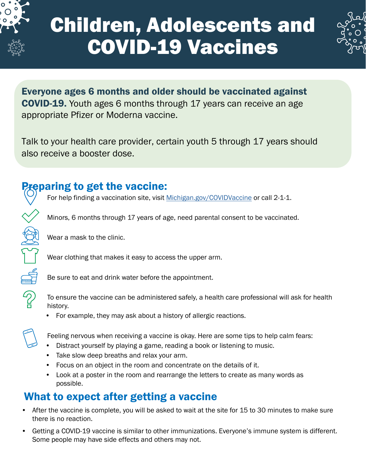

# Children, Adolescents and COVID-19 Vaccines



Everyone ages 6 months and older should be vaccinated against COVID-19. Youth ages 6 months through 17 years can receive an age appropriate Pfizer or Moderna vaccine.

Talk to your health care provider, certain youth 5 through 17 years should also receive a booster dose.

## Preparing to get the vaccine:

For help finding a vaccination site, visit [Michigan.gov/COVIDVaccine](http://Michigan.gov/COVIDVaccine) or call 2-1-1.



Minors, 6 months through 17 years of age, need parental consent to be vaccinated.

Wear a mask to the clinic.

Wear clothing that makes it easy to access the upper arm.

Be sure to eat and drink water before the appointment.

To ensure the vaccine can be administered safely, a health care professional will ask for health history.

• For example, they may ask about a history of allergic reactions.

Feeling nervous when receiving a vaccine is okay. Here are some tips to help calm fears:

- Distract yourself by playing a game, reading a book or listening to music.
- Take slow deep breaths and relax your arm.
- Focus on an object in the room and concentrate on the details of it.
- Look at a poster in the room and rearrange the letters to create as many words as possible.

## What to expect after getting a vaccine

- After the vaccine is complete, you will be asked to wait at the site for 15 to 30 minutes to make sure there is no reaction.
- Getting a COVID-19 vaccine is similar to other immunizations. Everyone's immune system is different. Some people may have side effects and others may not.